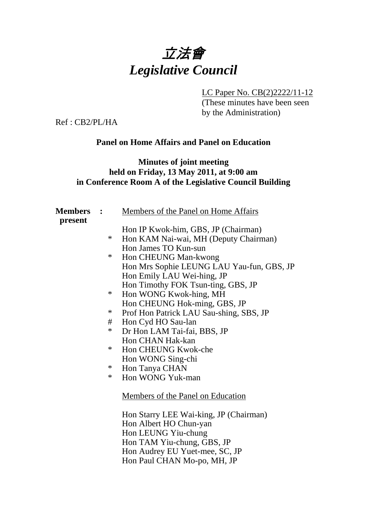

LC Paper No. CB(2)2222/11-12

(These minutes have been seen by the Administration)

Ref : CB2/PL/HA

### **Panel on Home Affairs and Panel on Education**

### **Minutes of joint meeting held on Friday, 13 May 2011, at 9:00 am in Conference Room A of the Legislative Council Building**

| <b>Members</b><br>present |        | Members of the Panel on Home Affairs      |
|---------------------------|--------|-------------------------------------------|
|                           |        | Hon IP Kwok-him, GBS, JP (Chairman)       |
|                           | $\ast$ | Hon KAM Nai-wai, MH (Deputy Chairman)     |
|                           |        | Hon James TO Kun-sun                      |
|                           | $\ast$ | Hon CHEUNG Man-kwong                      |
|                           |        | Hon Mrs Sophie LEUNG LAU Yau-fun, GBS, JP |
|                           |        | Hon Emily LAU Wei-hing, JP                |
|                           |        | Hon Timothy FOK Tsun-ting, GBS, JP        |
|                           | $\ast$ | Hon WONG Kwok-hing, MH                    |
|                           |        | Hon CHEUNG Hok-ming, GBS, JP              |
|                           | $\ast$ | Prof Hon Patrick LAU Sau-shing, SBS, JP   |
|                           | #      | Hon Cyd HO Sau-lan                        |
|                           | $\ast$ | Dr Hon LAM Tai-fai, BBS, JP               |
|                           |        | Hon CHAN Hak-kan                          |
|                           | $\ast$ | Hon CHEUNG Kwok-che                       |
|                           |        | Hon WONG Sing-chi                         |
|                           | $\ast$ | Hon Tanya CHAN                            |
|                           | ∗      | Hon WONG Yuk-man                          |
|                           |        | Members of the Panel on Education         |
|                           |        | Hon Starry LEE Wai-king, JP (Chairman)    |
|                           |        | Hon Albert HO Chun-yan                    |
|                           |        | Hon LEUNG Yiu-chung                       |
|                           |        | Hon TAM Yiu-chung, GBS, JP                |
|                           |        | Hon Audrey EU Yuet-mee, SC, JP            |

Hon Paul CHAN Mo-po, MH, JP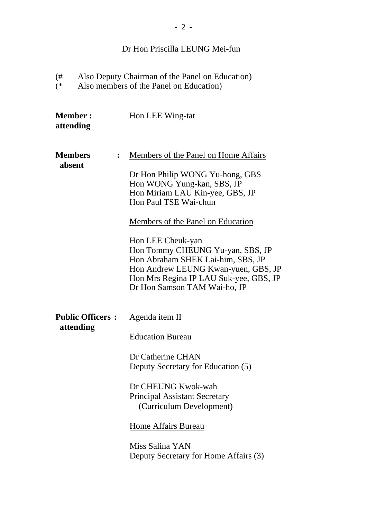# Dr Hon Priscilla LEUNG Mei-fun

 $\overset{(\#}{(*)}$ (# Also Deputy Chairman of the Panel on Education) (\* Also members of the Panel on Education)

| <b>Member:</b><br>attending          |                | Hon LEE Wing-tat                                                                                                                                                                                                                                                                                                                                                                                                      |
|--------------------------------------|----------------|-----------------------------------------------------------------------------------------------------------------------------------------------------------------------------------------------------------------------------------------------------------------------------------------------------------------------------------------------------------------------------------------------------------------------|
| <b>Members</b><br>absent             | $\ddot{\cdot}$ | Members of the Panel on Home Affairs<br>Dr Hon Philip WONG Yu-hong, GBS<br>Hon WONG Yung-kan, SBS, JP<br>Hon Miriam LAU Kin-yee, GBS, JP<br>Hon Paul TSE Wai-chun<br>Members of the Panel on Education<br>Hon LEE Cheuk-yan<br>Hon Tommy CHEUNG Yu-yan, SBS, JP<br>Hon Abraham SHEK Lai-him, SBS, JP<br>Hon Andrew LEUNG Kwan-yuen, GBS, JP<br>Hon Mrs Regina IP LAU Suk-yee, GBS, JP<br>Dr Hon Samson TAM Wai-ho, JP |
| <b>Public Officers:</b><br>attending |                | <u>Agenda item II</u><br><b>Education Bureau</b><br>Dr Catherine CHAN<br>Deputy Secretary for Education (5)<br>Dr CHEUNG Kwok-wah<br><b>Principal Assistant Secretary</b><br>(Curriculum Development)<br>Home Affairs Bureau<br>Miss Salina YAN<br>Deputy Secretary for Home Affairs (3)                                                                                                                              |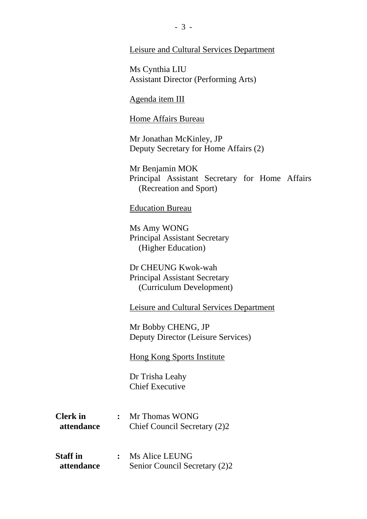#### Leisure and Cultural Services Department

Ms Cynthia LIU Assistant Director (Performing Arts)

#### Agenda item III

#### Home Affairs Bureau

Mr Jonathan McKinley, JP Deputy Secretary for Home Affairs (2)

Mr Benjamin MOK Principal Assistant Secretary for Home Affairs (Recreation and Sport)

#### Education Bureau

Ms Amy WONG Principal Assistant Secretary (Higher Education)

Dr CHEUNG Kwok-wah Principal Assistant Secretary (Curriculum Development)

Leisure and Cultural Services Department

Mr Bobby CHENG, JP Deputy Director (Leisure Services)

Hong Kong Sports Institute

Dr Trisha Leahy Chief Executive

- **Clerk in :** Mr Thomas WONG **attendance** Chief Council Secretary (2)2
- **Staff in :** Ms Alice LEUNG **attendance** Senior Council Secretary (2)2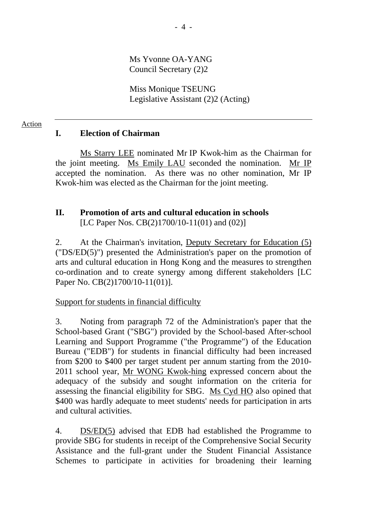Ms Yvonne OA-YANG Council Secretary (2)2

Miss Monique TSEUNG Legislative Assistant (2)2 (Acting)

## **I. Election of Chairman**

Action

Ms Starry LEE nominated Mr IP Kwok-him as the Chairman for the joint meeting. Ms Emily LAU seconded the nomination. Mr IP accepted the nomination. As there was no other nomination, Mr IP Kwok-him was elected as the Chairman for the joint meeting.

# **II. Promotion of arts and cultural education in schools**

[LC Paper Nos. CB(2)1700/10-11(01) and (02)]

2. At the Chairman's invitation, Deputy Secretary for Education (5) ("DS/ED(5)") presented the Administration's paper on the promotion of arts and cultural education in Hong Kong and the measures to strengthen co-ordination and to create synergy among different stakeholders [LC Paper No. CB(2)1700/10-11(01)].

### Support for students in financial difficulty

3. Noting from paragraph 72 of the Administration's paper that the School-based Grant ("SBG") provided by the School-based After-school Learning and Support Programme ("the Programme") of the Education Bureau ("EDB") for students in financial difficulty had been increased from \$200 to \$400 per target student per annum starting from the 2010- 2011 school year, Mr WONG Kwok-hing expressed concern about the adequacy of the subsidy and sought information on the criteria for assessing the financial eligibility for SBG. Ms Cyd HO also opined that \$400 was hardly adequate to meet students' needs for participation in arts and cultural activities.

4. DS/ED(5) advised that EDB had established the Programme to provide SBG for students in receipt of the Comprehensive Social Security Assistance and the full-grant under the Student Financial Assistance Schemes to participate in activities for broadening their learning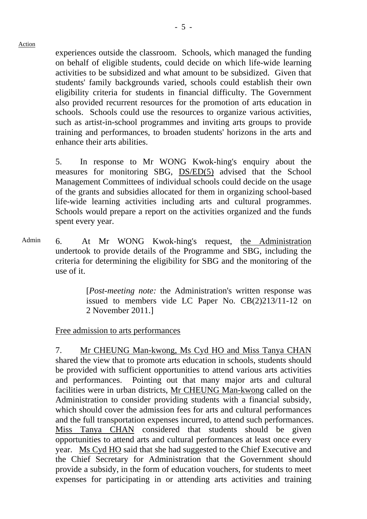experiences outside the classroom. Schools, which managed the funding on behalf of eligible students, could decide on which life-wide learning activities to be subsidized and what amount to be subsidized. Given that students' family backgrounds varied, schools could establish their own eligibility criteria for students in financial difficulty. The Government also provided recurrent resources for the promotion of arts education in schools. Schools could use the resources to organize various activities, such as artist-in-school programmes and inviting arts groups to provide training and performances, to broaden students' horizons in the arts and enhance their arts abilities.

5. In response to Mr WONG Kwok-hing's enquiry about the measures for monitoring SBG, DS/ED(5) advised that the School Management Committees of individual schools could decide on the usage of the grants and subsidies allocated for them in organizing school-based life-wide learning activities including arts and cultural programmes. Schools would prepare a report on the activities organized and the funds spent every year.

Admin 6. At Mr WONG Kwok-hing's request, the Administration undertook to provide details of the Programme and SBG, including the criteria for determining the eligibility for SBG and the monitoring of the use of it.

> [*Post-meeting note:* the Administration's written response was issued to members vide LC Paper No. CB(2)213/11-12 on 2 November 2011.]

#### Free admission to arts performances

7. Mr CHEUNG Man-kwong, Ms Cyd HO and Miss Tanya CHAN shared the view that to promote arts education in schools, students should be provided with sufficient opportunities to attend various arts activities and performances. Pointing out that many major arts and cultural facilities were in urban districts, Mr CHEUNG Man-kwong called on the Administration to consider providing students with a financial subsidy, which should cover the admission fees for arts and cultural performances and the full transportation expenses incurred, to attend such performances. Miss Tanya CHAN considered that students should be given opportunities to attend arts and cultural performances at least once every year. Ms Cyd HO said that she had suggested to the Chief Executive and the Chief Secretary for Administration that the Government should provide a subsidy, in the form of education vouchers, for students to meet expenses for participating in or attending arts activities and training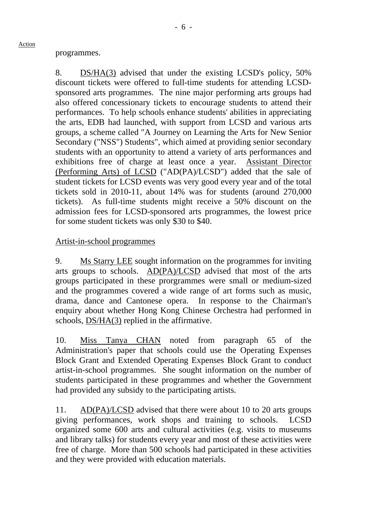8. DS/HA(3) advised that under the existing LCSD's policy, 50% discount tickets were offered to full-time students for attending LCSDsponsored arts programmes. The nine major performing arts groups had also offered concessionary tickets to encourage students to attend their performances. To help schools enhance students' abilities in appreciating the arts, EDB had launched, with support from LCSD and various arts groups, a scheme called "A Journey on Learning the Arts for New Senior Secondary ("NSS") Students", which aimed at providing senior secondary students with an opportunity to attend a variety of arts performances and exhibitions free of charge at least once a year. Assistant Director (Performing Arts) of LCSD ("AD(PA)/LCSD") added that the sale of student tickets for LCSD events was very good every year and of the total tickets sold in 2010-11, about 14% was for students (around 270,000 tickets). As full-time students might receive a 50% discount on the admission fees for LCSD-sponsored arts programmes, the lowest price for some student tickets was only \$30 to \$40.

#### Artist-in-school programmes

9. Ms Starry LEE sought information on the programmes for inviting arts groups to schools. AD(PA)/LCSD advised that most of the arts groups participated in these prorgrammes were small or medium-sized and the programmes covered a wide range of art forms such as music, drama, dance and Cantonese opera. In response to the Chairman's enquiry about whether Hong Kong Chinese Orchestra had performed in schools, DS/HA(3) replied in the affirmative.

10. Miss Tanya CHAN noted from paragraph 65 of the Administration's paper that schools could use the Operating Expenses Block Grant and Extended Operating Expenses Block Grant to conduct artist-in-school programmes. She sought information on the number of students participated in these programmes and whether the Government had provided any subsidy to the participating artists.

11. AD(PA)/LCSD advised that there were about 10 to 20 arts groups giving performances, work shops and training to schools. LCSD organized some 600 arts and cultural activities (e.g. visits to museums and library talks) for students every year and most of these activities were free of charge. More than 500 schools had participated in these activities and they were provided with education materials.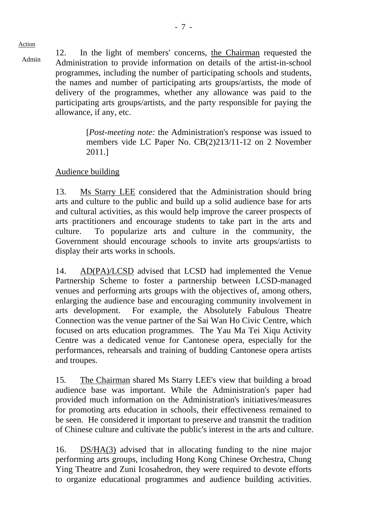12. In the light of members' concerns, the Chairman requested the Admin that is the chairman requested the Administration to provide information on details of the artist-in-school programmes, including the number of participating schools and students, the names and number of participating arts groups/artists, the mode of delivery of the programmes, whether any allowance was paid to the participating arts groups/artists, and the party responsible for paying the allowance, if any, etc.

> [*Post-meeting note:* the Administration's response was issued to members vide LC Paper No. CB(2)213/11-12 on 2 November 2011.]

# Audience building

13. Ms Starry LEE considered that the Administration should bring arts and culture to the public and build up a solid audience base for arts and cultural activities, as this would help improve the career prospects of arts practitioners and encourage students to take part in the arts and culture. To popularize arts and culture in the community, the Government should encourage schools to invite arts groups/artists to display their arts works in schools.

14. AD(PA)/LCSD advised that LCSD had implemented the Venue Partnership Scheme to foster a partnership between LCSD-managed venues and performing arts groups with the objectives of, among others, enlarging the audience base and encouraging community involvement in arts development. For example, the Absolutely Fabulous Theatre Connection was the venue partner of the Sai Wan Ho Civic Centre, which focused on arts education programmes. The Yau Ma Tei Xiqu Activity Centre was a dedicated venue for Cantonese opera, especially for the performances, rehearsals and training of budding Cantonese opera artists and troupes.

15. The Chairman shared Ms Starry LEE's view that building a broad audience base was important. While the Administration's paper had provided much information on the Administration's initiatives/measures for promoting arts education in schools, their effectiveness remained to be seen. He considered it important to preserve and transmit the tradition of Chinese culture and cultivate the public's interest in the arts and culture.

16. DS/HA(3) advised that in allocating funding to the nine major performing arts groups, including Hong Kong Chinese Orchestra, Chung Ying Theatre and Zuni Icosahedron, they were required to devote efforts to organize educational programmes and audience building activities.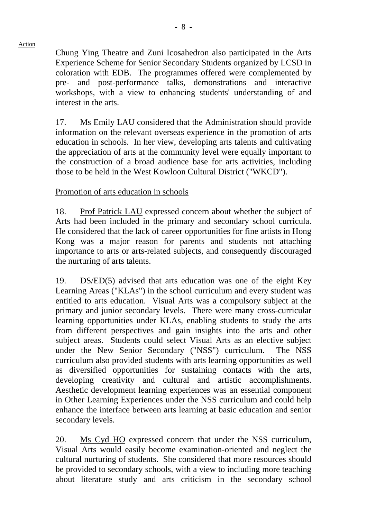Chung Ying Theatre and Zuni Icosahedron also participated in the Arts Experience Scheme for Senior Secondary Students organized by LCSD in coloration with EDB. The programmes offered were complemented by pre- and post-performance talks, demonstrations and interactive workshops, with a view to enhancing students' understanding of and interest in the arts.

17. Ms Emily LAU considered that the Administration should provide information on the relevant overseas experience in the promotion of arts education in schools. In her view, developing arts talents and cultivating the appreciation of arts at the community level were equally important to the construction of a broad audience base for arts activities, including those to be held in the West Kowloon Cultural District ("WKCD").

### Promotion of arts education in schools

18. Prof Patrick LAU expressed concern about whether the subject of Arts had been included in the primary and secondary school curricula. He considered that the lack of career opportunities for fine artists in Hong Kong was a major reason for parents and students not attaching importance to arts or arts-related subjects, and consequently discouraged the nurturing of arts talents.

19. DS/ED(5) advised that arts education was one of the eight Key Learning Areas ("KLAs") in the school curriculum and every student was entitled to arts education. Visual Arts was a compulsory subject at the primary and junior secondary levels. There were many cross-curricular learning opportunities under KLAs, enabling students to study the arts from different perspectives and gain insights into the arts and other subject areas. Students could select Visual Arts as an elective subject under the New Senior Secondary ("NSS") curriculum. The NSS curriculum also provided students with arts learning opportunities as well as diversified opportunities for sustaining contacts with the arts, developing creativity and cultural and artistic accomplishments. Aesthetic development learning experiences was an essential component in Other Learning Experiences under the NSS curriculum and could help enhance the interface between arts learning at basic education and senior secondary levels.

20. Ms Cyd HO expressed concern that under the NSS curriculum, Visual Arts would easily become examination-oriented and neglect the cultural nurturing of students. She considered that more resources should be provided to secondary schools, with a view to including more teaching about literature study and arts criticism in the secondary school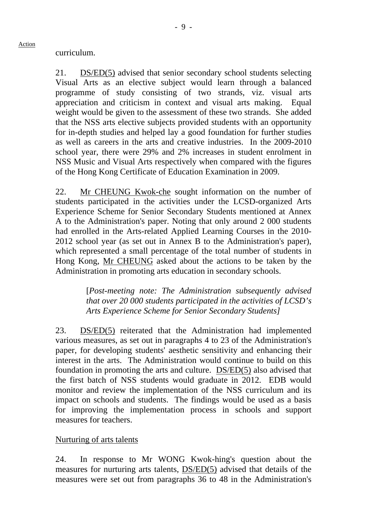curriculum.

Action

21. DS/ED(5) advised that senior secondary school students selecting Visual Arts as an elective subject would learn through a balanced programme of study consisting of two strands, viz. visual arts appreciation and criticism in context and visual arts making. Equal weight would be given to the assessment of these two strands. She added that the NSS arts elective subjects provided students with an opportunity for in-depth studies and helped lay a good foundation for further studies as well as careers in the arts and creative industries. In the 2009-2010 school year, there were 29% and 2% increases in student enrolment in NSS Music and Visual Arts respectively when compared with the figures of the Hong Kong Certificate of Education Examination in 2009.

22. Mr CHEUNG Kwok-che sought information on the number of students participated in the activities under the LCSD-organized Arts Experience Scheme for Senior Secondary Students mentioned at Annex A to the Administration's paper. Noting that only around 2 000 students had enrolled in the Arts-related Applied Learning Courses in the 2010- 2012 school year (as set out in Annex B to the Administration's paper), which represented a small percentage of the total number of students in Hong Kong, Mr CHEUNG asked about the actions to be taken by the Administration in promoting arts education in secondary schools.

> [*Post-meeting note: The Administration subsequently advised that over 20 000 students participated in the activities of LCSD's Arts Experience Scheme for Senior Secondary Students]*

23. DS/ED(5) reiterated that the Administration had implemented various measures, as set out in paragraphs 4 to 23 of the Administration's paper, for developing students' aesthetic sensitivity and enhancing their interest in the arts. The Administration would continue to build on this foundation in promoting the arts and culture. DS/ED(5) also advised that the first batch of NSS students would graduate in 2012. EDB would monitor and review the implementation of the NSS curriculum and its impact on schools and students. The findings would be used as a basis for improving the implementation process in schools and support measures for teachers.

Nurturing of arts talents

24. In response to Mr WONG Kwok-hing's question about the measures for nurturing arts talents, DS/ED(5) advised that details of the measures were set out from paragraphs 36 to 48 in the Administration's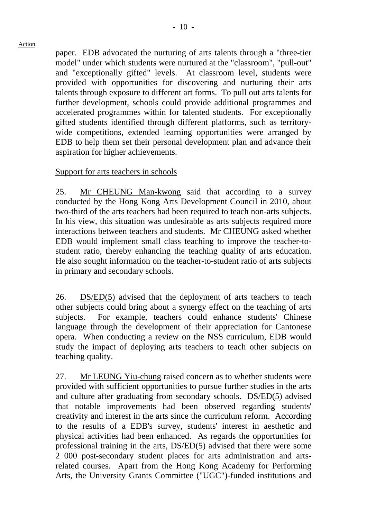paper. EDB advocated the nurturing of arts talents through a "three-tier model" under which students were nurtured at the "classroom", "pull-out" and "exceptionally gifted" levels. At classroom level, students were provided with opportunities for discovering and nurturing their arts talents through exposure to different art forms. To pull out arts talents for further development, schools could provide additional programmes and accelerated programmes within for talented students. For exceptionally gifted students identified through different platforms, such as territorywide competitions, extended learning opportunities were arranged by EDB to help them set their personal development plan and advance their aspiration for higher achievements.

### Support for arts teachers in schools

25. Mr CHEUNG Man-kwong said that according to a survey conducted by the Hong Kong Arts Development Council in 2010, about two-third of the arts teachers had been required to teach non-arts subjects. In his view, this situation was undesirable as arts subjects required more interactions between teachers and students. Mr CHEUNG asked whether EDB would implement small class teaching to improve the teacher-tostudent ratio, thereby enhancing the teaching quality of arts education. He also sought information on the teacher-to-student ratio of arts subjects in primary and secondary schools.

26. DS/ED(5) advised that the deployment of arts teachers to teach other subjects could bring about a synergy effect on the teaching of arts subjects. For example, teachers could enhance students' Chinese language through the development of their appreciation for Cantonese opera. When conducting a review on the NSS curriculum, EDB would study the impact of deploying arts teachers to teach other subjects on teaching quality.

27. Mr LEUNG Yiu-chung raised concern as to whether students were provided with sufficient opportunities to pursue further studies in the arts and culture after graduating from secondary schools. DS/ED(5) advised that notable improvements had been observed regarding students' creativity and interest in the arts since the curriculum reform. According to the results of a EDB's survey, students' interest in aesthetic and physical activities had been enhanced. As regards the opportunities for professional training in the arts, DS/ED(5) advised that there were some 2 000 post-secondary student places for arts administration and artsrelated courses. Apart from the Hong Kong Academy for Performing Arts, the University Grants Committee ("UGC")-funded institutions and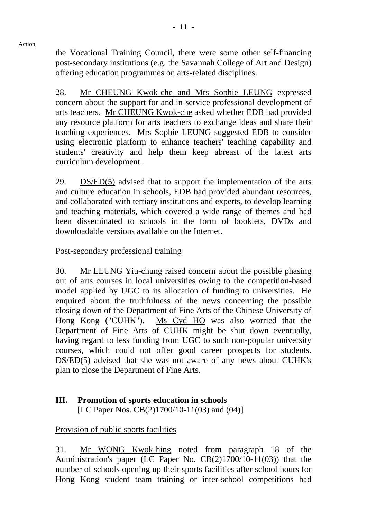the Vocational Training Council, there were some other self-financing post-secondary institutions (e.g. the Savannah College of Art and Design) offering education programmes on arts-related disciplines.

28. Mr CHEUNG Kwok-che and Mrs Sophie LEUNG expressed concern about the support for and in-service professional development of arts teachers. Mr CHEUNG Kwok-che asked whether EDB had provided any resource platform for arts teachers to exchange ideas and share their teaching experiences. Mrs Sophie LEUNG suggested EDB to consider using electronic platform to enhance teachers' teaching capability and students' creativity and help them keep abreast of the latest arts curriculum development.

29. DS/ED(5) advised that to support the implementation of the arts and culture education in schools, EDB had provided abundant resources, and collaborated with tertiary institutions and experts, to develop learning and teaching materials, which covered a wide range of themes and had been disseminated to schools in the form of booklets, DVDs and downloadable versions available on the Internet.

# Post-secondary professional training

30. Mr LEUNG Yiu-chung raised concern about the possible phasing out of arts courses in local universities owing to the competition-based model applied by UGC to its allocation of funding to universities. He enquired about the truthfulness of the news concerning the possible closing down of the Department of Fine Arts of the Chinese University of Hong Kong ("CUHK"). Ms Cyd HO was also worried that the Department of Fine Arts of CUHK might be shut down eventually, having regard to less funding from UGC to such non-popular university courses, which could not offer good career prospects for students. DS/ED(5) advised that she was not aware of any news about CUHK's plan to close the Department of Fine Arts.

# **III. Promotion of sports education in schools**

[LC Paper Nos. CB(2)1700/10-11(03) and (04)]

# Provision of public sports facilities

31. Mr WONG Kwok-hing noted from paragraph 18 of the Administration's paper (LC Paper No. CB(2)1700/10-11(03)) that the number of schools opening up their sports facilities after school hours for Hong Kong student team training or inter-school competitions had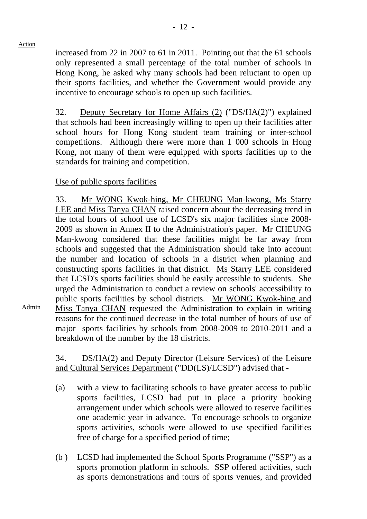Admin

increased from 22 in 2007 to 61 in 2011. Pointing out that the 61 schools only represented a small percentage of the total number of schools in Hong Kong, he asked why many schools had been reluctant to open up their sports facilities, and whether the Government would provide any incentive to encourage schools to open up such facilities.

32. Deputy Secretary for Home Affairs (2) ("DS/HA(2)") explained that schools had been increasingly willing to open up their facilities after school hours for Hong Kong student team training or inter-school competitions. Although there were more than 1 000 schools in Hong Kong, not many of them were equipped with sports facilities up to the standards for training and competition.

## Use of public sports facilities

33. Mr WONG Kwok-hing, Mr CHEUNG Man-kwong, Ms Starry LEE and Miss Tanya CHAN raised concern about the decreasing trend in the total hours of school use of LCSD's six major facilities since 2008- 2009 as shown in Annex II to the Administration's paper. Mr CHEUNG Man-kwong considered that these facilities might be far away from schools and suggested that the Administration should take into account the number and location of schools in a district when planning and constructing sports facilities in that district. Ms Starry LEE considered that LCSD's sports facilities should be easily accessible to students. She urged the Administration to conduct a review on schools' accessibility to public sports facilities by school districts. Mr WONG Kwok-hing and Miss Tanya CHAN requested the Administration to explain in writing reasons for the continued decrease in the total number of hours of use of major sports facilities by schools from 2008-2009 to 2010-2011 and a breakdown of the number by the 18 districts.

34. DS/HA(2) and Deputy Director (Leisure Services) of the Leisure and Cultural Services Department ("DD(LS)/LCSD") advised that -

- (a) with a view to facilitating schools to have greater access to public sports facilities, LCSD had put in place a priority booking arrangement under which schools were allowed to reserve facilities one academic year in advance. To encourage schools to organize sports activities, schools were allowed to use specified facilities free of charge for a specified period of time;
- (b ) LCSD had implemented the School Sports Programme ("SSP") as a sports promotion platform in schools. SSP offered activities, such as sports demonstrations and tours of sports venues, and provided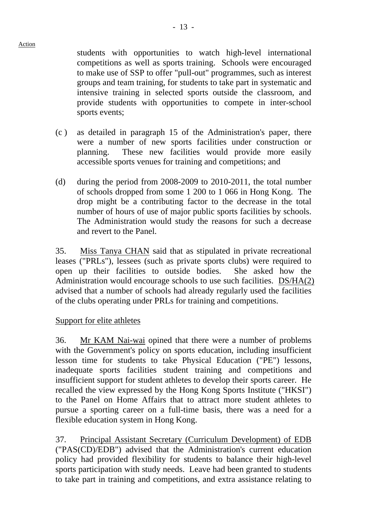students with opportunities to watch high-level international competitions as well as sports training. Schools were encouraged to make use of SSP to offer "pull-out" programmes, such as interest groups and team training, for students to take part in systematic and intensive training in selected sports outside the classroom, and provide students with opportunities to compete in inter-school sports events;

- (c ) as detailed in paragraph 15 of the Administration's paper, there were a number of new sports facilities under construction or planning. These new facilities would provide more easily accessible sports venues for training and competitions; and
- (d) during the period from 2008-2009 to 2010-2011, the total number of schools dropped from some 1 200 to 1 066 in Hong Kong. The drop might be a contributing factor to the decrease in the total number of hours of use of major public sports facilities by schools. The Administration would study the reasons for such a decrease and revert to the Panel.

35. Miss Tanya CHAN said that as stipulated in private recreational leases ("PRLs"), lessees (such as private sports clubs) were required to open up their facilities to outside bodies. She asked how the Administration would encourage schools to use such facilities. DS/HA(2) advised that a number of schools had already regularly used the facilities of the clubs operating under PRLs for training and competitions.

## Support for elite athletes

36. Mr KAM Nai-wai opined that there were a number of problems with the Government's policy on sports education, including insufficient lesson time for students to take Physical Education ("PE") lessons, inadequate sports facilities student training and competitions and insufficient support for student athletes to develop their sports career. He recalled the view expressed by the Hong Kong Sports Institute ("HKSI") to the Panel on Home Affairs that to attract more student athletes to pursue a sporting career on a full-time basis, there was a need for a flexible education system in Hong Kong.

37. Principal Assistant Secretary (Curriculum Development) of EDB ("PAS(CD)/EDB") advised that the Administration's current education policy had provided flexibility for students to balance their high-level sports participation with study needs. Leave had been granted to students to take part in training and competitions, and extra assistance relating to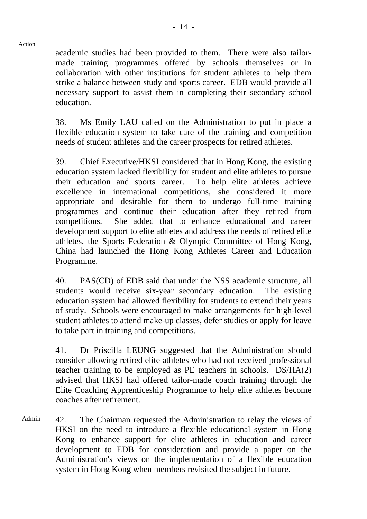academic studies had been provided to them. There were also tailormade training programmes offered by schools themselves or in collaboration with other institutions for student athletes to help them strike a balance between study and sports career. EDB would provide all necessary support to assist them in completing their secondary school education.

38. Ms Emily LAU called on the Administration to put in place a flexible education system to take care of the training and competition needs of student athletes and the career prospects for retired athletes.

39. Chief Executive/HKSI considered that in Hong Kong, the existing education system lacked flexibility for student and elite athletes to pursue their education and sports career. To help elite athletes achieve excellence in international competitions, she considered it more appropriate and desirable for them to undergo full-time training programmes and continue their education after they retired from competitions. She added that to enhance educational and career development support to elite athletes and address the needs of retired elite athletes, the Sports Federation & Olympic Committee of Hong Kong, China had launched the Hong Kong Athletes Career and Education Programme.

40. PAS(CD) of EDB said that under the NSS academic structure, all students would receive six-year secondary education. The existing education system had allowed flexibility for students to extend their years of study. Schools were encouraged to make arrangements for high-level student athletes to attend make-up classes, defer studies or apply for leave to take part in training and competitions.

41. Dr Priscilla LEUNG suggested that the Administration should consider allowing retired elite athletes who had not received professional teacher training to be employed as PE teachers in schools. DS/HA(2) advised that HKSI had offered tailor-made coach training through the Elite Coaching Apprenticeship Programme to help elite athletes become coaches after retirement.

Admin 42. The Chairman requested the Administration to relay the views of HKSI on the need to introduce a flexible educational system in Hong Kong to enhance support for elite athletes in education and career development to EDB for consideration and provide a paper on the Administration's views on the implementation of a flexible education system in Hong Kong when members revisited the subject in future.